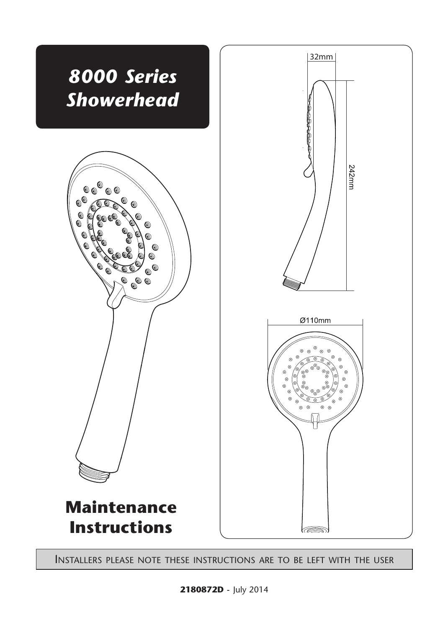

Installers please note these instructions are to be left with the user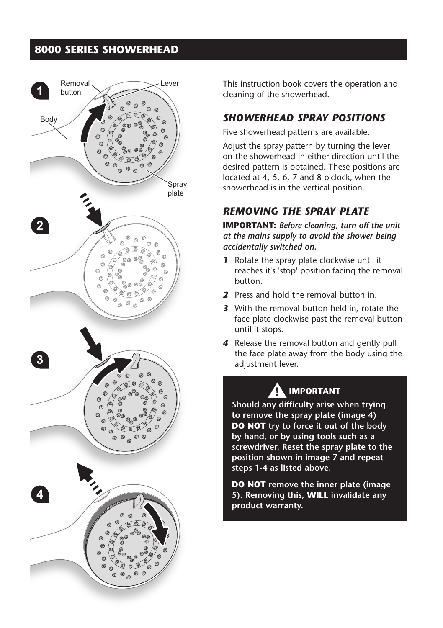## **8000 SERIES SHOWERHEAD**



This instruction book covers the operation and cleaning of the showerhead.

#### *SHOWERHEAD SPRAY POSITIONS*

Five showerhead patterns are available.

Adjust the spray pattern by turning the lever on the showerhead in either direction until the desired pattern is obtained. These positions are located at 4, 5, 6, 7 and 8 o'clock, when the showerhead is in the vertical position.

## *REMOVING THE SPRAY PLATE*

**IMPORTANT:** *Before cleaning, turn off the unit at the mains supply to avoid the shower being accidentally switched on.*

- *1* Rotate the spray plate clockwise until it reaches it's 'stop' position facing the removal button.
- *2* Press and hold the removal button in.
- *3* With the removal button held in, rotate the face plate clockwise past the removal button until it stops.
- *4* Release the removal button and gently pull the face plate away from the body using the adjustment lever.

# **IMPORTANT**

**Should any difficulty arise when trying to remove the spray plate (image 4) DO NOT try to force it out of the body by hand, or by using tools such as a screwdriver. Reset the spray plate to the position shown in image 7 and repeat steps 1-4 as listed above.**

**DO NOT remove the inner plate (image 5). Removing this, WILL invalidate any product warranty.**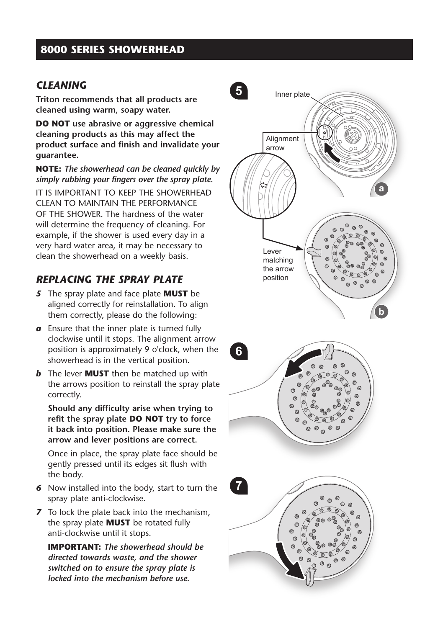## **8000 SERIES SHOWERHEAD**

#### *CLEANING*

**Triton recommends that all products are cleaned using warm, soapy water.**

**DO NOT use abrasive or aggressive chemical cleaning products as this may affect the product surface and finish and invalidate your guarantee.**

**NOTE :** *The showerhead can be cleaned quickly by simply rubbing your fingers over the spray plate.*

IT IS IMPORTANT TO KEEP THE SHOWERHEAD CLEAN TO MAINTAIN THE PEREORMANCE OF THE SHOWER. The hardness of the water will determine the frequency of cleaning. For example, if the shower is used every day in a very hard water area, it may be necessary to clean the showerhead on a weekly basis.

#### *REPLACING THE SPRAY PLATE*

- *5* The spray plate and face plate **MUST** be aligned correctly for reinstallation. To align them correctly, please do the following:
- *a* Ensure that the inner plate is turned fully clockwise until it stops. The alignment arrow position is approximately 9 o'clock, when the showerhead is in the vertical position.
- *b* The lever **MUST** then be matched up with the arrows position to reinstall the spray plate correctly.

**Should any difficulty arise when trying to refit the spray plate DO NOT try to force it back into position. Please make sure the arrow and lever positions are correct.**

Once in place, the spray plate face should be gently pressed until its edges sit flush with the body.

- *6* Now installed into the body, start to turn the spray plate anti-clockwise.
- *7* To lock the plate back into the mechanism, the spray plate **MUST** be rotated fully anti-clockwise until it stops.

**IMPORTANT:** *The showerhead should be directed towards waste, and the shower switched on to ensure the spray plate is locked into the mechanism before use.*